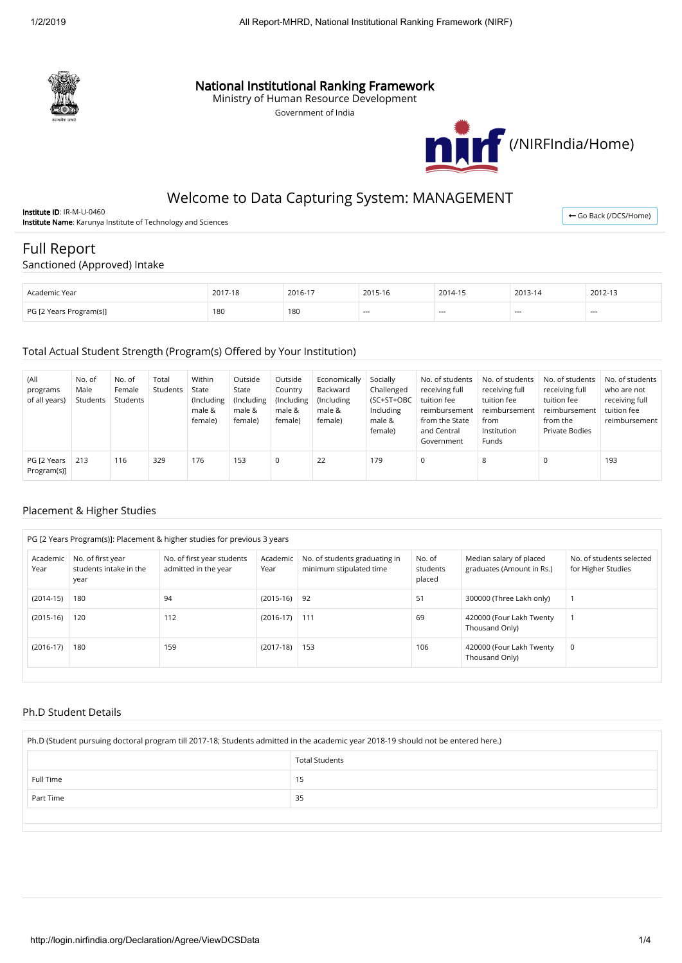

## National Institutional Ranking Framework

Ministry of Human Resource Development

Government of India



## Welcome to Data Capturing System: MANAGEMENT

Institute ID: IR-M-U-0460 Institute Name: Karunya Institute of Technology and Sciences

← [Go Back \(/DCS/Home\)](http://login.nirfindia.org/DCS/Home)

# Full Report

#### Sanctioned (Approved) Intake

| . Academic Year         | 2017-18<br>$1 - 18$<br>∠∪ | 2016-17              | 2015-16 | 2014-15 | 2013-14 | 2012-13 |
|-------------------------|---------------------------|----------------------|---------|---------|---------|---------|
| PG [2 Years Program(s)] | 180<br>$\sim$ $\sim$      | 180<br>$\sim$ $\sim$ | ----    | $- - -$ | $- - -$ | $- - -$ |

#### Total Actual Student Strength (Program(s) Offered by Your Institution)

| (All<br>programs<br>of all years) | No. of<br>Male<br>Students | No. of<br>Female<br>Students | Total<br>Students | Within<br>State<br>(Including<br>male &<br>female) | Outside<br>State<br>(Including<br>male &<br>female) | Outside<br>Country<br>(Including<br>male &<br>female) | Economically<br>Backward<br>(Including)<br>male &<br>female) | Socially<br>Challenged<br>(SC+ST+OBC<br>Including<br>male &<br>female) | No. of students<br>receiving full<br>tuition fee<br>reimbursement<br>from the State<br>and Central<br>Government | No. of students<br>receiving full<br>tuition fee<br>reimbursement<br>from<br>Institution<br>Funds | No. of students<br>receiving full<br>tuition fee<br>reimbursement<br>from the<br>Private Bodies | No. of students<br>who are not<br>receiving full<br>tuition fee<br>reimbursement |
|-----------------------------------|----------------------------|------------------------------|-------------------|----------------------------------------------------|-----------------------------------------------------|-------------------------------------------------------|--------------------------------------------------------------|------------------------------------------------------------------------|------------------------------------------------------------------------------------------------------------------|---------------------------------------------------------------------------------------------------|-------------------------------------------------------------------------------------------------|----------------------------------------------------------------------------------|
| PG [2 Years<br>Program(s)]        | 213                        | 116                          | 329               | 176                                                | 153                                                 | $\Omega$                                              | 22                                                           | 179                                                                    | $\Omega$                                                                                                         | 8                                                                                                 |                                                                                                 | 193                                                                              |

#### Placement & Higher Studies

|                  |                                                     |                                                    | PG [2 Years Program(s)]: Placement & higher studies for previous 3 years |                                                          |                              |                                                      |                                                |
|------------------|-----------------------------------------------------|----------------------------------------------------|--------------------------------------------------------------------------|----------------------------------------------------------|------------------------------|------------------------------------------------------|------------------------------------------------|
| Academic<br>Year | No. of first year<br>students intake in the<br>year | No. of first year students<br>admitted in the year | Academic<br>Year                                                         | No. of students graduating in<br>minimum stipulated time | No. of<br>students<br>placed | Median salary of placed<br>graduates (Amount in Rs.) | No. of students selected<br>for Higher Studies |
| $(2014-15)$      | 180                                                 | 94                                                 | $(2015-16)$                                                              | 92                                                       | 51                           | 300000 (Three Lakh only)                             |                                                |
| $(2015-16)$      | 120                                                 | 112                                                | $(2016-17)$                                                              | 111                                                      | 69                           | 420000 (Four Lakh Twenty<br>Thousand Only)           |                                                |
| $(2016-17)$      | 180                                                 | 159                                                | $(2017-18)$                                                              | 153                                                      | 106                          | 420000 (Four Lakh Twenty<br>Thousand Only)           | 0                                              |

#### Ph.D Student Details

| Ph.D (Student pursuing doctoral program till 2017-18; Students admitted in the academic year 2018-19 should not be entered here.) |                       |  |  |  |  |  |
|-----------------------------------------------------------------------------------------------------------------------------------|-----------------------|--|--|--|--|--|
|                                                                                                                                   | <b>Total Students</b> |  |  |  |  |  |
| Full Time                                                                                                                         | 15                    |  |  |  |  |  |
| 35<br>Part Time                                                                                                                   |                       |  |  |  |  |  |
|                                                                                                                                   |                       |  |  |  |  |  |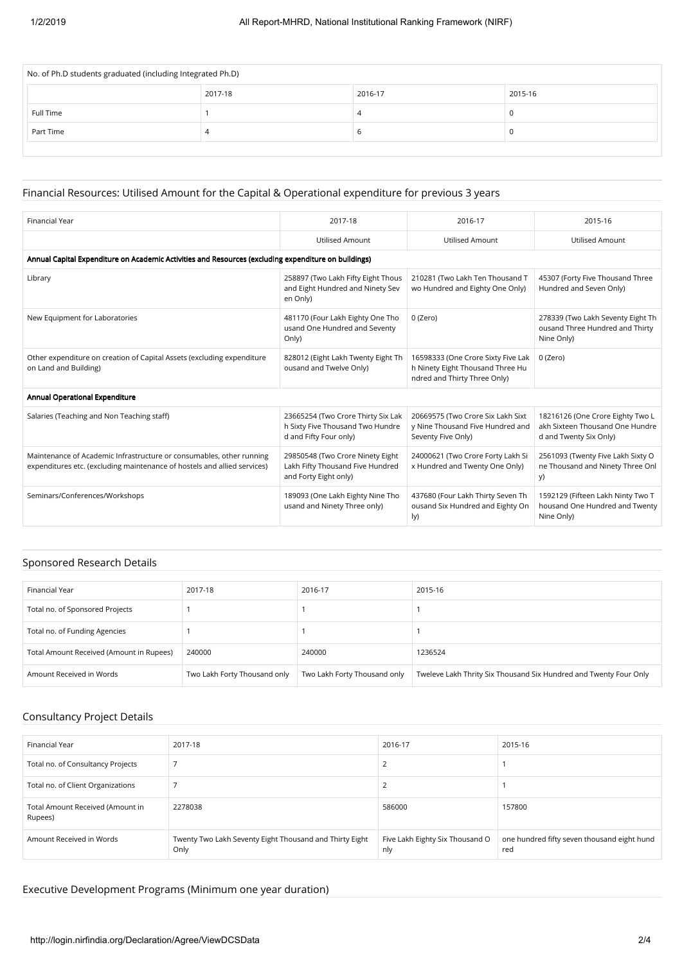| No. of Ph.D students graduated (including Integrated Ph.D) |         |         |         |  |  |  |  |
|------------------------------------------------------------|---------|---------|---------|--|--|--|--|
|                                                            | 2017-18 | 2016-17 | 2015-16 |  |  |  |  |
| Full Time                                                  |         |         | U       |  |  |  |  |
| Part Time                                                  | 4       |         |         |  |  |  |  |
|                                                            |         |         |         |  |  |  |  |

#### Financial Resources: Utilised Amount for the Capital & Operational expenditure for previous 3 years

| <b>Financial Year</b>                                                                                                                            | 2017-18                                                                                          | 2016-17                                                                                                | 2015-16                                                                                       |  |  |  |  |
|--------------------------------------------------------------------------------------------------------------------------------------------------|--------------------------------------------------------------------------------------------------|--------------------------------------------------------------------------------------------------------|-----------------------------------------------------------------------------------------------|--|--|--|--|
|                                                                                                                                                  | <b>Utilised Amount</b>                                                                           | <b>Utilised Amount</b>                                                                                 | <b>Utilised Amount</b>                                                                        |  |  |  |  |
| Annual Capital Expenditure on Academic Activities and Resources (excluding expenditure on buildings)                                             |                                                                                                  |                                                                                                        |                                                                                               |  |  |  |  |
| Library                                                                                                                                          | 258897 (Two Lakh Fifty Eight Thous<br>and Eight Hundred and Ninety Sev<br>en Only)               | 210281 (Two Lakh Ten Thousand T<br>wo Hundred and Eighty One Only)                                     | 45307 (Forty Five Thousand Three<br>Hundred and Seven Only)                                   |  |  |  |  |
| New Equipment for Laboratories                                                                                                                   | 481170 (Four Lakh Eighty One Tho<br>usand One Hundred and Seventy<br>Only)                       | 0 (Zero)                                                                                               | 278339 (Two Lakh Seventy Eight Th<br>ousand Three Hundred and Thirty<br>Nine Only)            |  |  |  |  |
| Other expenditure on creation of Capital Assets (excluding expenditure<br>on Land and Building)                                                  | 828012 (Eight Lakh Twenty Eight Th<br>ousand and Twelve Only)                                    | 16598333 (One Crore Sixty Five Lak<br>h Ninety Eight Thousand Three Hu<br>ndred and Thirty Three Only) | 0 (Zero)                                                                                      |  |  |  |  |
| Annual Operational Expenditure                                                                                                                   |                                                                                                  |                                                                                                        |                                                                                               |  |  |  |  |
| Salaries (Teaching and Non Teaching staff)                                                                                                       | 23665254 (Two Crore Thirty Six Lak<br>h Sixty Five Thousand Two Hundre<br>d and Fifty Four only) | 20669575 (Two Crore Six Lakh Sixt<br>y Nine Thousand Five Hundred and<br>Seventy Five Only)            | 18216126 (One Crore Eighty Two L<br>akh Sixteen Thousand One Hundre<br>d and Twenty Six Only) |  |  |  |  |
| Maintenance of Academic Infrastructure or consumables, other running<br>expenditures etc. (excluding maintenance of hostels and allied services) | 29850548 (Two Crore Ninety Eight<br>Lakh Fifty Thousand Five Hundred<br>and Forty Eight only)    | 24000621 (Two Crore Forty Lakh Si<br>x Hundred and Twenty One Only)                                    | 2561093 (Twenty Five Lakh Sixty O<br>ne Thousand and Ninety Three Onl<br>y)                   |  |  |  |  |
| Seminars/Conferences/Workshops                                                                                                                   | 189093 (One Lakh Eighty Nine Tho<br>usand and Ninety Three only)                                 | 437680 (Four Lakh Thirty Seven Th<br>ousand Six Hundred and Eighty On<br>$\vert \vee \rangle$          | 1592129 (Fifteen Lakh Ninty Two T<br>housand One Hundred and Twenty<br>Nine Only)             |  |  |  |  |

#### Sponsored Research Details

| Financial Year                           | 2017-18                      | 2016-17                      | 2015-16                                                           |
|------------------------------------------|------------------------------|------------------------------|-------------------------------------------------------------------|
| Total no. of Sponsored Projects          |                              |                              |                                                                   |
| Total no. of Funding Agencies            |                              |                              |                                                                   |
| Total Amount Received (Amount in Rupees) | 240000                       | 240000                       | 1236524                                                           |
| Amount Received in Words                 | Two Lakh Forty Thousand only | Two Lakh Forty Thousand only | Tweleve Lakh Thrity Six Thousand Six Hundred and Twenty Four Only |

## Consultancy Project Details

| Financial Year                              | 2017-18                                                         | 2016-17                                | 2015-16                                            |
|---------------------------------------------|-----------------------------------------------------------------|----------------------------------------|----------------------------------------------------|
| Total no. of Consultancy Projects           |                                                                 |                                        |                                                    |
| Total no. of Client Organizations           |                                                                 |                                        |                                                    |
| Total Amount Received (Amount in<br>Rupees) | 2278038                                                         | 586000                                 | 157800                                             |
| Amount Received in Words                    | Twenty Two Lakh Seventy Eight Thousand and Thirty Eight<br>Only | Five Lakh Eighty Six Thousand O<br>nly | one hundred fifty seven thousand eight hund<br>red |

## Executive Development Programs (Minimum one year duration)